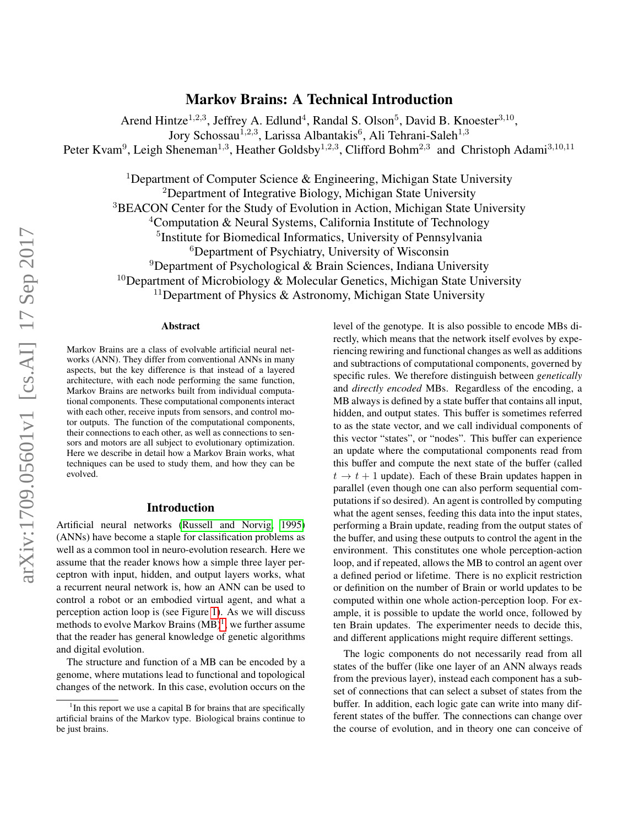# Markov Brains: A Technical Introduction

Arend Hintze<sup>1,2,3</sup>, Jeffrey A. Edlund<sup>4</sup>, Randal S. Olson<sup>5</sup>, David B. Knoester<sup>3,10</sup>, Jory Schossau<sup>1,2,3</sup>, Larissa Albantakis<sup>6</sup>, Ali Tehrani-Saleh<sup>1,3</sup> Peter Kvam<sup>9</sup>, Leigh Sheneman<sup>1,3</sup>, Heather Goldsby<sup>1,2,3</sup>, Clifford Bohm<sup>2,3</sup> and Christoph Adami<sup>3,10,11</sup>

<sup>1</sup>Department of Computer Science  $\&$  Engineering, Michigan State University <sup>2</sup>Department of Integrative Biology, Michigan State University <sup>3</sup>BEACON Center for the Study of Evolution in Action, Michigan State University <sup>4</sup>Computation & Neural Systems, California Institute of Technology <sup>5</sup>Institute for Biomedical Informatics, University of Pennsylvania <sup>6</sup>Department of Psychiatry, University of Wisconsin <sup>9</sup>Department of Psychological & Brain Sciences, Indiana University <sup>10</sup>Department of Microbiology & Molecular Genetics, Michigan State University  $11$ Department of Physics & Astronomy, Michigan State University

#### Abstract

Markov Brains are a class of evolvable artificial neural networks (ANN). They differ from conventional ANNs in many aspects, but the key difference is that instead of a layered architecture, with each node performing the same function, Markov Brains are networks built from individual computational components. These computational components interact with each other, receive inputs from sensors, and control motor outputs. The function of the computational components, their connections to each other, as well as connections to sensors and motors are all subject to evolutionary optimization. Here we describe in detail how a Markov Brain works, what techniques can be used to study them, and how they can be evolved.

#### Introduction

Artificial neural networks [\(Russell and Norvig, 1995\)](#page-11-0) (ANNs) have become a staple for classification problems as well as a common tool in neuro-evolution research. Here we assume that the reader knows how a simple three layer perceptron with input, hidden, and output layers works, what a recurrent neural network is, how an ANN can be used to control a robot or an embodied virtual agent, and what a perception action loop is (see Figure [1\)](#page-1-0). As we will discuss methods to evolve Markov Brains  $(MB)^1$  $(MB)^1$ , we further assume that the reader has general knowledge of genetic algorithms and digital evolution.

The structure and function of a MB can be encoded by a genome, where mutations lead to functional and topological changes of the network. In this case, evolution occurs on the level of the genotype. It is also possible to encode MBs directly, which means that the network itself evolves by experiencing rewiring and functional changes as well as additions and subtractions of computational components, governed by specific rules. We therefore distinguish between *genetically* and *directly encoded* MBs. Regardless of the encoding, a MB always is defined by a state buffer that contains all input, hidden, and output states. This buffer is sometimes referred to as the state vector, and we call individual components of this vector "states", or "nodes". This buffer can experience an update where the computational components read from this buffer and compute the next state of the buffer (called  $t \to t + 1$  update). Each of these Brain updates happen in parallel (even though one can also perform sequential computations if so desired). An agent is controlled by computing what the agent senses, feeding this data into the input states, performing a Brain update, reading from the output states of the buffer, and using these outputs to control the agent in the environment. This constitutes one whole perception-action loop, and if repeated, allows the MB to control an agent over a defined period or lifetime. There is no explicit restriction or definition on the number of Brain or world updates to be computed within one whole action-perception loop. For example, it is possible to update the world once, followed by ten Brain updates. The experimenter needs to decide this, and different applications might require different settings.

The logic components do not necessarily read from all states of the buffer (like one layer of an ANN always reads from the previous layer), instead each component has a subset of connections that can select a subset of states from the buffer. In addition, each logic gate can write into many different states of the buffer. The connections can change over the course of evolution, and in theory one can conceive of

<span id="page-0-0"></span><sup>&</sup>lt;sup>1</sup>In this report we use a capital B for brains that are specifically artificial brains of the Markov type. Biological brains continue to be just brains.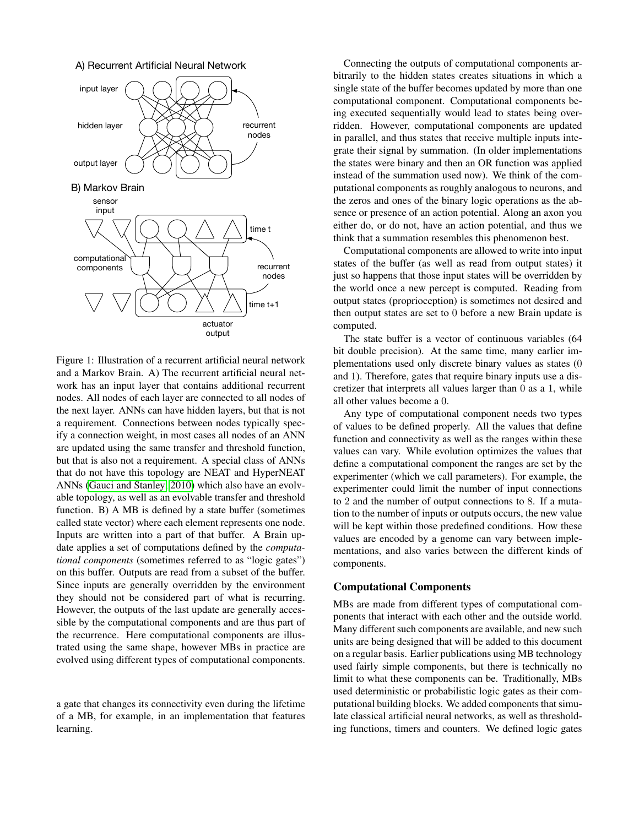A) Recurrent Artificial Neural Network



<span id="page-1-0"></span>Figure 1: Illustration of a recurrent artificial neural network and a Markov Brain. A) The recurrent artificial neural network has an input layer that contains additional recurrent nodes. All nodes of each layer are connected to all nodes of the next layer. ANNs can have hidden layers, but that is not a requirement. Connections between nodes typically specify a connection weight, in most cases all nodes of an ANN are updated using the same transfer and threshold function, but that is also not a requirement. A special class of ANNs that do not have this topology are NEAT and HyperNEAT ANNs [\(Gauci and Stanley, 2010\)](#page-10-0) which also have an evolvable topology, as well as an evolvable transfer and threshold function. B) A MB is defined by a state buffer (sometimes called state vector) where each element represents one node. Inputs are written into a part of that buffer. A Brain update applies a set of computations defined by the *computational components* (sometimes referred to as "logic gates") on this buffer. Outputs are read from a subset of the buffer. Since inputs are generally overridden by the environment they should not be considered part of what is recurring. However, the outputs of the last update are generally accessible by the computational components and are thus part of the recurrence. Here computational components are illustrated using the same shape, however MBs in practice are evolved using different types of computational components.

a gate that changes its connectivity even during the lifetime of a MB, for example, in an implementation that features learning.

Connecting the outputs of computational components arbitrarily to the hidden states creates situations in which a single state of the buffer becomes updated by more than one computational component. Computational components being executed sequentially would lead to states being overridden. However, computational components are updated in parallel, and thus states that receive multiple inputs integrate their signal by summation. (In older implementations the states were binary and then an OR function was applied instead of the summation used now). We think of the computational components as roughly analogous to neurons, and the zeros and ones of the binary logic operations as the absence or presence of an action potential. Along an axon you either do, or do not, have an action potential, and thus we think that a summation resembles this phenomenon best.

Computational components are allowed to write into input states of the buffer (as well as read from output states) it just so happens that those input states will be overridden by the world once a new percept is computed. Reading from output states (proprioception) is sometimes not desired and then output states are set to 0 before a new Brain update is computed.

The state buffer is a vector of continuous variables (64 bit double precision). At the same time, many earlier implementations used only discrete binary values as states (0 and 1). Therefore, gates that require binary inputs use a discretizer that interprets all values larger than 0 as a 1, while all other values become a 0.

Any type of computational component needs two types of values to be defined properly. All the values that define function and connectivity as well as the ranges within these values can vary. While evolution optimizes the values that define a computational component the ranges are set by the experimenter (which we call parameters). For example, the experimenter could limit the number of input connections to 2 and the number of output connections to 8. If a mutation to the number of inputs or outputs occurs, the new value will be kept within those predefined conditions. How these values are encoded by a genome can vary between implementations, and also varies between the different kinds of components.

## Computational Components

MBs are made from different types of computational components that interact with each other and the outside world. Many different such components are available, and new such units are being designed that will be added to this document on a regular basis. Earlier publications using MB technology used fairly simple components, but there is technically no limit to what these components can be. Traditionally, MBs used deterministic or probabilistic logic gates as their computational building blocks. We added components that simulate classical artificial neural networks, as well as thresholding functions, timers and counters. We defined logic gates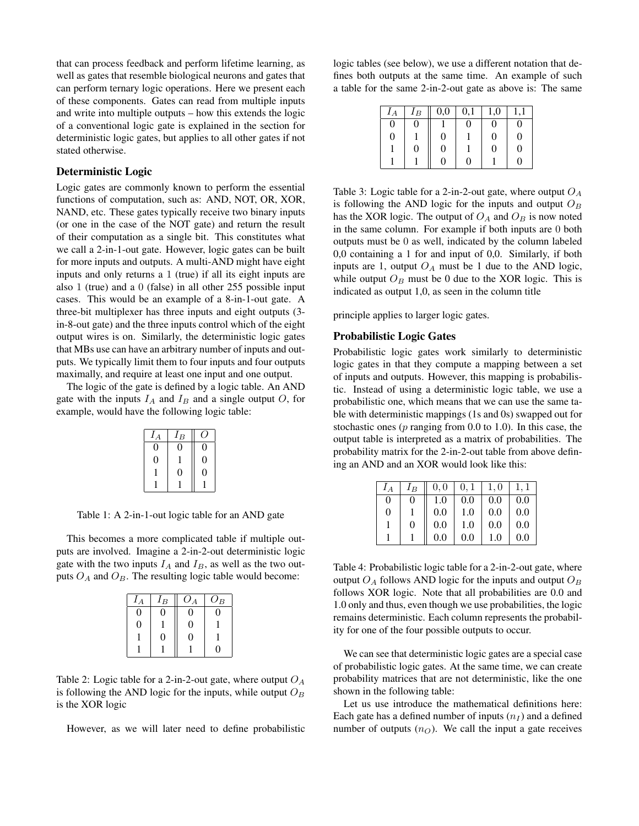that can process feedback and perform lifetime learning, as well as gates that resemble biological neurons and gates that can perform ternary logic operations. Here we present each of these components. Gates can read from multiple inputs and write into multiple outputs – how this extends the logic of a conventional logic gate is explained in the section for deterministic logic gates, but applies to all other gates if not stated otherwise.

## Deterministic Logic

Logic gates are commonly known to perform the essential functions of computation, such as: AND, NOT, OR, XOR, NAND, etc. These gates typically receive two binary inputs (or one in the case of the NOT gate) and return the result of their computation as a single bit. This constitutes what we call a 2-in-1-out gate. However, logic gates can be built for more inputs and outputs. A multi-AND might have eight inputs and only returns a 1 (true) if all its eight inputs are also 1 (true) and a 0 (false) in all other 255 possible input cases. This would be an example of a 8-in-1-out gate. A three-bit multiplexer has three inputs and eight outputs (3 in-8-out gate) and the three inputs control which of the eight output wires is on. Similarly, the deterministic logic gates that MBs use can have an arbitrary number of inputs and outputs. We typically limit them to four inputs and four outputs maximally, and require at least one input and one output.

The logic of the gate is defined by a logic table. An AND gate with the inputs  $I_A$  and  $I_B$  and a single output O, for example, would have the following logic table:

| $I_A$ | $I_B$ |   |
|-------|-------|---|
|       |       |   |
| 1)    |       | 0 |
|       | 0     | ŋ |
|       |       |   |

Table 1: A 2-in-1-out logic table for an AND gate

This becomes a more complicated table if multiple outputs are involved. Imagine a 2-in-2-out deterministic logic gate with the two inputs  $I_A$  and  $I_B$ , as well as the two outputs  $O_A$  and  $O_B$ . The resulting logic table would become:

| $\iota_A$        | $I_B$ | $O_A$ | $O_B$ |
|------------------|-------|-------|-------|
| $\left( \right)$ |       | 0     |       |
| $\overline{0}$   |       | 9     |       |
|                  | 0     | 0     |       |
|                  |       |       |       |

Table 2: Logic table for a 2-in-2-out gate, where output  $O<sub>A</sub>$ is following the AND logic for the inputs, while output  $O_B$ is the XOR logic

However, as we will later need to define probabilistic

logic tables (see below), we use a different notation that defines both outputs at the same time. An example of such a table for the same 2-in-2-out gate as above is: The same

| $I_A$    | $I_B$  | 0,0 | 0,1 | 1,0 | $\cdot$ 1 |
|----------|--------|-----|-----|-----|-----------|
| $\theta$ | $_{0}$ |     | O   | 0   | 0         |
| $\theta$ |        | 0   |     | 0   | 0         |
|          | 0      | 0   |     | 0   | 0         |
|          |        | ∩   | ∩   |     |           |

Table 3: Logic table for a 2-in-2-out gate, where output  $O<sub>A</sub>$ is following the AND logic for the inputs and output  $O_B$ has the XOR logic. The output of  $O_A$  and  $O_B$  is now noted in the same column. For example if both inputs are 0 both outputs must be 0 as well, indicated by the column labeled 0,0 containing a 1 for and input of 0,0. Similarly, if both inputs are 1, output  $O_A$  must be 1 due to the AND logic, while output  $O_B$  must be 0 due to the XOR logic. This is indicated as output 1,0, as seen in the column title

principle applies to larger logic gates.

#### Probabilistic Logic Gates

Probabilistic logic gates work similarly to deterministic logic gates in that they compute a mapping between a set of inputs and outputs. However, this mapping is probabilistic. Instead of using a deterministic logic table, we use a probabilistic one, which means that we can use the same table with deterministic mappings (1s and 0s) swapped out for stochastic ones ( $p$  ranging from 0.0 to 1.0). In this case, the output table is interpreted as a matrix of probabilities. The probability matrix for the 2-in-2-out table from above defining an AND and an XOR would look like this:

| $I_A$ | $I_B$ | 0, 0 | 0, 1 | 1,0 | 1. 1 |
|-------|-------|------|------|-----|------|
| 0     | 0     | 1.0  | 0.0  | 0.0 | 0.0  |
| 0     |       | 0.0  | 1.0  | 0.0 | 0.0  |
|       | 0     | 0.0  | 1.0  | 0.0 | 0.0  |
|       |       | 0.0  | 0.0  | 1.0 | 0.0  |

Table 4: Probabilistic logic table for a 2-in-2-out gate, where output  $O_A$  follows AND logic for the inputs and output  $O_B$ follows XOR logic. Note that all probabilities are 0.0 and 1.0 only and thus, even though we use probabilities, the logic remains deterministic. Each column represents the probability for one of the four possible outputs to occur.

We can see that deterministic logic gates are a special case of probabilistic logic gates. At the same time, we can create probability matrices that are not deterministic, like the one shown in the following table:

Let us use introduce the mathematical definitions here: Each gate has a defined number of inputs  $(n_I)$  and a defined number of outputs  $(n<sub>O</sub>)$ . We call the input a gate receives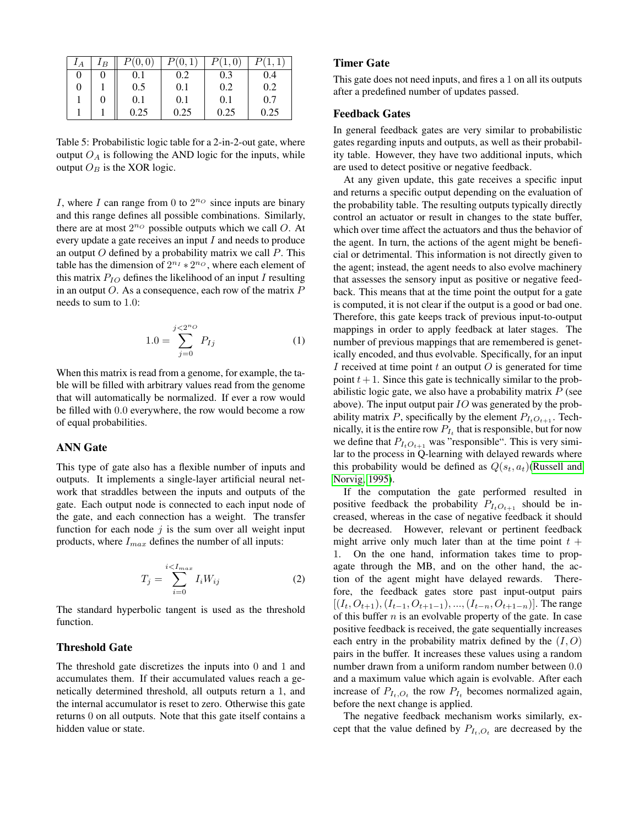| ${}^I A$ | $I_B$ | P(0,0)    | P(0,1) | P(1,0) | P(1,1) |
|----------|-------|-----------|--------|--------|--------|
| 0        |       | $\rm 0.1$ | 0.2    | 0.3    | 0.4    |
| 0        |       | 0.5       | 0.1    | 0.2    | 0.2    |
|          |       | 0.1       | 0.1    | 0.1    | 0.7    |
|          |       | 0.25      | 0.25   | 0.25   | 0.25   |

Table 5: Probabilistic logic table for a 2-in-2-out gate, where output  $O_A$  is following the AND logic for the inputs, while output  $O_B$  is the XOR logic.

I, where I can range from 0 to  $2^{n}$  since inputs are binary and this range defines all possible combinations. Similarly, there are at most  $2^{n}$  possible outputs which we call O. At every update a gate receives an input I and needs to produce an output  $O$  defined by a probability matrix we call  $P$ . This table has the dimension of  $2^{n_I} * 2^{n_O}$ , where each element of this matrix  $P_{IO}$  defines the likelihood of an input I resulting in an output  $O$ . As a consequence, each row of the matrix  $P$ needs to sum to 1.0:

$$
1.0 = \sum_{j=0}^{j < 2^{n_O}} P_{Ij} \tag{1}
$$

When this matrix is read from a genome, for example, the table will be filled with arbitrary values read from the genome that will automatically be normalized. If ever a row would be filled with 0.0 everywhere, the row would become a row of equal probabilities.

#### ANN Gate

This type of gate also has a flexible number of inputs and outputs. It implements a single-layer artificial neural network that straddles between the inputs and outputs of the gate. Each output node is connected to each input node of the gate, and each connection has a weight. The transfer function for each node  $j$  is the sum over all weight input products, where  $I_{max}$  defines the number of all inputs:

$$
T_j = \sum_{i=0}^{i < I_{max}} I_i W_{ij} \tag{2}
$$

The standard hyperbolic tangent is used as the threshold function.

## Threshold Gate

The threshold gate discretizes the inputs into 0 and 1 and accumulates them. If their accumulated values reach a genetically determined threshold, all outputs return a 1, and the internal accumulator is reset to zero. Otherwise this gate returns 0 on all outputs. Note that this gate itself contains a hidden value or state.

### Timer Gate

This gate does not need inputs, and fires a 1 on all its outputs after a predefined number of updates passed.

#### Feedback Gates

In general feedback gates are very similar to probabilistic gates regarding inputs and outputs, as well as their probability table. However, they have two additional inputs, which are used to detect positive or negative feedback.

At any given update, this gate receives a specific input and returns a specific output depending on the evaluation of the probability table. The resulting outputs typically directly control an actuator or result in changes to the state buffer, which over time affect the actuators and thus the behavior of the agent. In turn, the actions of the agent might be beneficial or detrimental. This information is not directly given to the agent; instead, the agent needs to also evolve machinery that assesses the sensory input as positive or negative feedback. This means that at the time point the output for a gate is computed, it is not clear if the output is a good or bad one. Therefore, this gate keeps track of previous input-to-output mappings in order to apply feedback at later stages. The number of previous mappings that are remembered is genetically encoded, and thus evolvable. Specifically, for an input I received at time point  $t$  an output  $O$  is generated for time point  $t + 1$ . Since this gate is technically similar to the probabilistic logic gate, we also have a probability matrix  $P$  (see above). The input output pair  $IO$  was generated by the probability matrix P, specifically by the element  $P_{I_tO_{t+1}}$ . Technically, it is the entire row  $P_{I_t}$  that is responsible, but for now we define that  $P_{I_tO_{t+1}}$  was "responsible". This is very similar to the process in Q-learning with delayed rewards where this probability would be defined as  $Q(s_t, a_t)$ [\(Russell and](#page-11-0) [Norvig, 1995\)](#page-11-0).

If the computation the gate performed resulted in positive feedback the probability  $P_{I_tO_{t+1}}$  should be increased, whereas in the case of negative feedback it should be decreased. However, relevant or pertinent feedback might arrive only much later than at the time point  $t +$ 1. On the one hand, information takes time to propagate through the MB, and on the other hand, the action of the agent might have delayed rewards. Therefore, the feedback gates store past input-output pairs  $[(I_t, O_{t+1}), (I_{t-1}, O_{t+1-1}), ..., (I_{t-n}, O_{t+1-n})]$ . The range of this buffer  $n$  is an evolvable property of the gate. In case positive feedback is received, the gate sequentially increases each entry in the probability matrix defined by the  $(I, O)$ pairs in the buffer. It increases these values using a random number drawn from a uniform random number between 0.0 and a maximum value which again is evolvable. After each increase of  $P_{I_t, O_t}$  the row  $P_{I_t}$  becomes normalized again, before the next change is applied.

The negative feedback mechanism works similarly, except that the value defined by  $P_{I_t,O_t}$  are decreased by the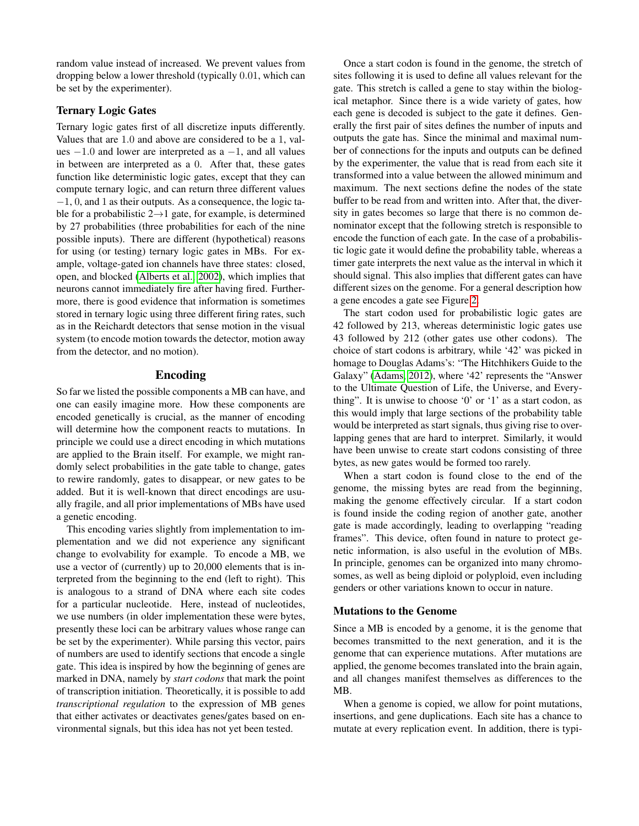random value instead of increased. We prevent values from dropping below a lower threshold (typically 0.01, which can be set by the experimenter).

## Ternary Logic Gates

Ternary logic gates first of all discretize inputs differently. Values that are 1.0 and above are considered to be a 1, values  $-1.0$  and lower are interpreted as a  $-1$ , and all values in between are interpreted as a 0. After that, these gates function like deterministic logic gates, except that they can compute ternary logic, and can return three different values −1, 0, and 1 as their outputs. As a consequence, the logic table for a probabilistic  $2\rightarrow 1$  gate, for example, is determined by 27 probabilities (three probabilities for each of the nine possible inputs). There are different (hypothetical) reasons for using (or testing) ternary logic gates in MBs. For example, voltage-gated ion channels have three states: closed, open, and blocked [\(Alberts et al., 2002\)](#page-10-1), which implies that neurons cannot immediately fire after having fired. Furthermore, there is good evidence that information is sometimes stored in ternary logic using three different firing rates, such as in the Reichardt detectors that sense motion in the visual system (to encode motion towards the detector, motion away from the detector, and no motion).

## Encoding

So far we listed the possible components a MB can have, and one can easily imagine more. How these components are encoded genetically is crucial, as the manner of encoding will determine how the component reacts to mutations. In principle we could use a direct encoding in which mutations are applied to the Brain itself. For example, we might randomly select probabilities in the gate table to change, gates to rewire randomly, gates to disappear, or new gates to be added. But it is well-known that direct encodings are usually fragile, and all prior implementations of MBs have used a genetic encoding.

This encoding varies slightly from implementation to implementation and we did not experience any significant change to evolvability for example. To encode a MB, we use a vector of (currently) up to 20,000 elements that is interpreted from the beginning to the end (left to right). This is analogous to a strand of DNA where each site codes for a particular nucleotide. Here, instead of nucleotides, we use numbers (in older implementation these were bytes, presently these loci can be arbitrary values whose range can be set by the experimenter). While parsing this vector, pairs of numbers are used to identify sections that encode a single gate. This idea is inspired by how the beginning of genes are marked in DNA, namely by *start codons* that mark the point of transcription initiation. Theoretically, it is possible to add *transcriptional regulation* to the expression of MB genes that either activates or deactivates genes/gates based on environmental signals, but this idea has not yet been tested.

Once a start codon is found in the genome, the stretch of sites following it is used to define all values relevant for the gate. This stretch is called a gene to stay within the biological metaphor. Since there is a wide variety of gates, how each gene is decoded is subject to the gate it defines. Generally the first pair of sites defines the number of inputs and outputs the gate has. Since the minimal and maximal number of connections for the inputs and outputs can be defined by the experimenter, the value that is read from each site it transformed into a value between the allowed minimum and maximum. The next sections define the nodes of the state buffer to be read from and written into. After that, the diversity in gates becomes so large that there is no common denominator except that the following stretch is responsible to encode the function of each gate. In the case of a probabilistic logic gate it would define the probability table, whereas a timer gate interprets the next value as the interval in which it should signal. This also implies that different gates can have different sizes on the genome. For a general description how a gene encodes a gate see Figure [2.](#page-5-0)

The start codon used for probabilistic logic gates are 42 followed by 213, whereas deterministic logic gates use 43 followed by 212 (other gates use other codons). The choice of start codons is arbitrary, while '42' was picked in homage to Douglas Adams's: "The Hitchhikers Guide to the Galaxy" [\(Adams, 2012\)](#page-10-2), where '42' represents the "Answer to the Ultimate Question of Life, the Universe, and Everything". It is unwise to choose '0' or '1' as a start codon, as this would imply that large sections of the probability table would be interpreted as start signals, thus giving rise to overlapping genes that are hard to interpret. Similarly, it would have been unwise to create start codons consisting of three bytes, as new gates would be formed too rarely.

When a start codon is found close to the end of the genome, the missing bytes are read from the beginning, making the genome effectively circular. If a start codon is found inside the coding region of another gate, another gate is made accordingly, leading to overlapping "reading frames". This device, often found in nature to protect genetic information, is also useful in the evolution of MBs. In principle, genomes can be organized into many chromosomes, as well as being diploid or polyploid, even including genders or other variations known to occur in nature.

### Mutations to the Genome

Since a MB is encoded by a genome, it is the genome that becomes transmitted to the next generation, and it is the genome that can experience mutations. After mutations are applied, the genome becomes translated into the brain again, and all changes manifest themselves as differences to the MB.

When a genome is copied, we allow for point mutations, insertions, and gene duplications. Each site has a chance to mutate at every replication event. In addition, there is typi-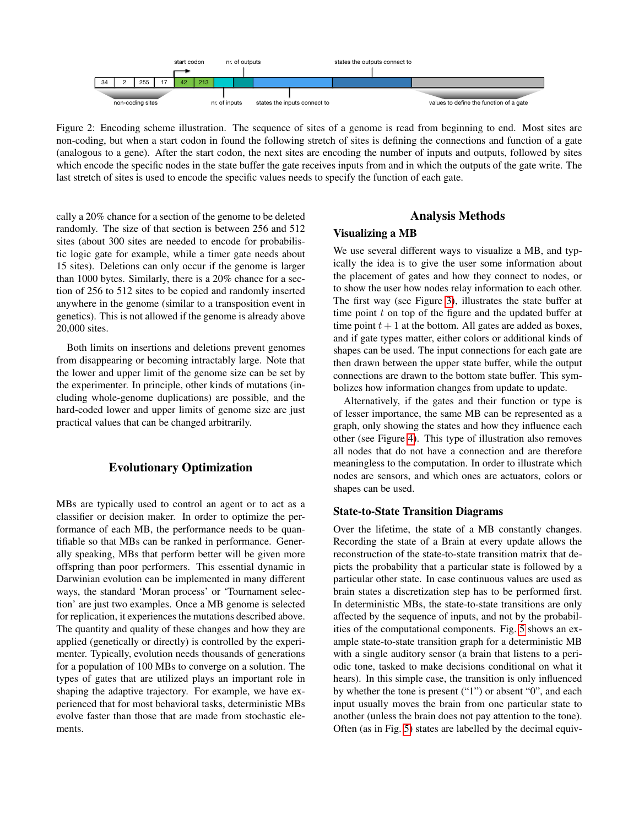

<span id="page-5-0"></span>Figure 2: Encoding scheme illustration. The sequence of sites of a genome is read from beginning to end. Most sites are non-coding, but when a start codon in found the following stretch of sites is defining the connections and function of a gate (analogous to a gene). After the start codon, the next sites are encoding the number of inputs and outputs, followed by sites which encode the specific nodes in the state buffer the gate receives inputs from and in which the outputs of the gate write. The last stretch of sites is used to encode the specific values needs to specify the function of each gate.

cally a 20% chance for a section of the genome to be deleted randomly. The size of that section is between 256 and 512 sites (about 300 sites are needed to encode for probabilistic logic gate for example, while a timer gate needs about 15 sites). Deletions can only occur if the genome is larger than 1000 bytes. Similarly, there is a 20% chance for a section of 256 to 512 sites to be copied and randomly inserted anywhere in the genome (similar to a transposition event in genetics). This is not allowed if the genome is already above 20,000 sites.

Both limits on insertions and deletions prevent genomes from disappearing or becoming intractably large. Note that the lower and upper limit of the genome size can be set by the experimenter. In principle, other kinds of mutations (including whole-genome duplications) are possible, and the hard-coded lower and upper limits of genome size are just practical values that can be changed arbitrarily.

## Evolutionary Optimization

MBs are typically used to control an agent or to act as a classifier or decision maker. In order to optimize the performance of each MB, the performance needs to be quantifiable so that MBs can be ranked in performance. Generally speaking, MBs that perform better will be given more offspring than poor performers. This essential dynamic in Darwinian evolution can be implemented in many different ways, the standard 'Moran process' or 'Tournament selection' are just two examples. Once a MB genome is selected for replication, it experiences the mutations described above. The quantity and quality of these changes and how they are applied (genetically or directly) is controlled by the experimenter. Typically, evolution needs thousands of generations for a population of 100 MBs to converge on a solution. The types of gates that are utilized plays an important role in shaping the adaptive trajectory. For example, we have experienced that for most behavioral tasks, deterministic MBs evolve faster than those that are made from stochastic elements.

## Analysis Methods

#### Visualizing a MB

We use several different ways to visualize a MB, and typically the idea is to give the user some information about the placement of gates and how they connect to nodes, or to show the user how nodes relay information to each other. The first way (see Figure [3\)](#page-6-0), illustrates the state buffer at time point  $t$  on top of the figure and the updated buffer at time point  $t + 1$  at the bottom. All gates are added as boxes, and if gate types matter, either colors or additional kinds of shapes can be used. The input connections for each gate are then drawn between the upper state buffer, while the output connections are drawn to the bottom state buffer. This symbolizes how information changes from update to update.

Alternatively, if the gates and their function or type is of lesser importance, the same MB can be represented as a graph, only showing the states and how they influence each other (see Figure [4\)](#page-6-1). This type of illustration also removes all nodes that do not have a connection and are therefore meaningless to the computation. In order to illustrate which nodes are sensors, and which ones are actuators, colors or shapes can be used.

#### State-to-State Transition Diagrams

Over the lifetime, the state of a MB constantly changes. Recording the state of a Brain at every update allows the reconstruction of the state-to-state transition matrix that depicts the probability that a particular state is followed by a particular other state. In case continuous values are used as brain states a discretization step has to be performed first. In deterministic MBs, the state-to-state transitions are only affected by the sequence of inputs, and not by the probabilities of the computational components. Fig. [5](#page-7-0) shows an example state-to-state transition graph for a deterministic MB with a single auditory sensor (a brain that listens to a periodic tone, tasked to make decisions conditional on what it hears). In this simple case, the transition is only influenced by whether the tone is present ("1") or absent "0", and each input usually moves the brain from one particular state to another (unless the brain does not pay attention to the tone). Often (as in Fig. [5\)](#page-7-0) states are labelled by the decimal equiv-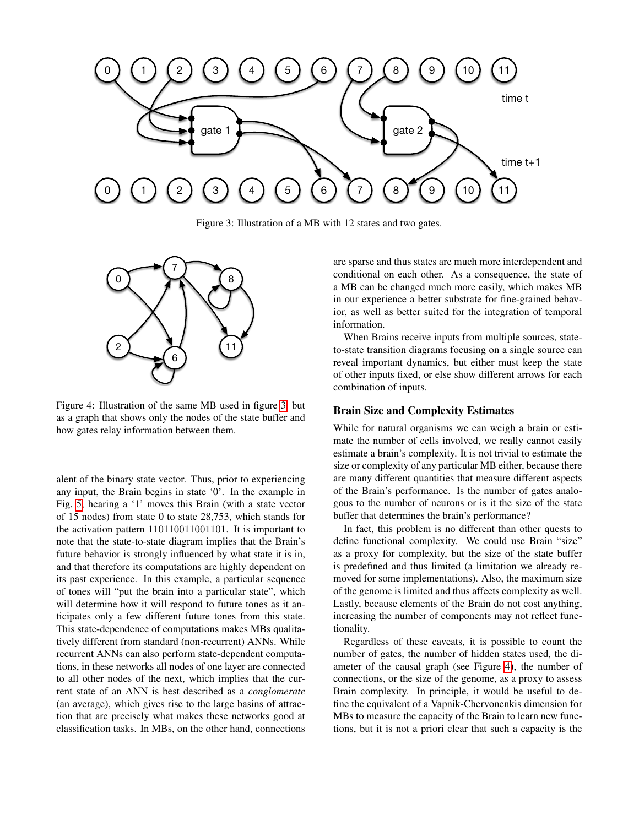

<span id="page-6-0"></span>Figure 3: Illustration of a MB with 12 states and two gates.



<span id="page-6-1"></span>Figure 4: Illustration of the same MB used in figure [3,](#page-6-0) but as a graph that shows only the nodes of the state buffer and how gates relay information between them.

alent of the binary state vector. Thus, prior to experiencing any input, the Brain begins in state '0'. In the example in Fig. [5,](#page-7-0) hearing a '1' moves this Brain (with a state vector of 15 nodes) from state 0 to state 28,753, which stands for the activation pattern 110110011001101. It is important to note that the state-to-state diagram implies that the Brain's future behavior is strongly influenced by what state it is in, and that therefore its computations are highly dependent on its past experience. In this example, a particular sequence of tones will "put the brain into a particular state", which will determine how it will respond to future tones as it anticipates only a few different future tones from this state. This state-dependence of computations makes MBs qualitatively different from standard (non-recurrent) ANNs. While recurrent ANNs can also perform state-dependent computations, in these networks all nodes of one layer are connected to all other nodes of the next, which implies that the current state of an ANN is best described as a *conglomerate* (an average), which gives rise to the large basins of attraction that are precisely what makes these networks good at classification tasks. In MBs, on the other hand, connections

are sparse and thus states are much more interdependent and conditional on each other. As a consequence, the state of a MB can be changed much more easily, which makes MB in our experience a better substrate for fine-grained behavior, as well as better suited for the integration of temporal information.

When Brains receive inputs from multiple sources, stateto-state transition diagrams focusing on a single source can reveal important dynamics, but either must keep the state of other inputs fixed, or else show different arrows for each combination of inputs.

#### Brain Size and Complexity Estimates

While for natural organisms we can weigh a brain or estimate the number of cells involved, we really cannot easily estimate a brain's complexity. It is not trivial to estimate the size or complexity of any particular MB either, because there are many different quantities that measure different aspects of the Brain's performance. Is the number of gates analogous to the number of neurons or is it the size of the state buffer that determines the brain's performance?

In fact, this problem is no different than other quests to define functional complexity. We could use Brain "size" as a proxy for complexity, but the size of the state buffer is predefined and thus limited (a limitation we already removed for some implementations). Also, the maximum size of the genome is limited and thus affects complexity as well. Lastly, because elements of the Brain do not cost anything, increasing the number of components may not reflect functionality.

Regardless of these caveats, it is possible to count the number of gates, the number of hidden states used, the diameter of the causal graph (see Figure [4\)](#page-6-1), the number of connections, or the size of the genome, as a proxy to assess Brain complexity. In principle, it would be useful to define the equivalent of a Vapnik-Chervonenkis dimension for MBs to measure the capacity of the Brain to learn new functions, but it is not a priori clear that such a capacity is the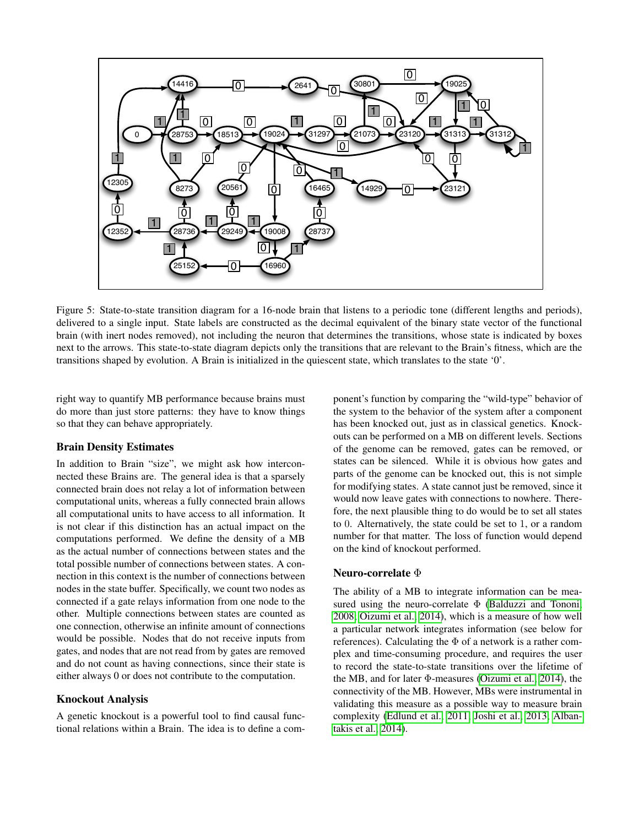

<span id="page-7-0"></span>Figure 5: State-to-state transition diagram for a 16-node brain that listens to a periodic tone (different lengths and periods), delivered to a single input. State labels are constructed as the decimal equivalent of the binary state vector of the functional brain (with inert nodes removed), not including the neuron that determines the transitions, whose state is indicated by boxes next to the arrows. This state-to-state diagram depicts only the transitions that are relevant to the Brain's fitness, which are the transitions shaped by evolution. A Brain is initialized in the quiescent state, which translates to the state '0'.

right way to quantify MB performance because brains must do more than just store patterns: they have to know things so that they can behave appropriately.

## Brain Density Estimates

In addition to Brain "size", we might ask how interconnected these Brains are. The general idea is that a sparsely connected brain does not relay a lot of information between computational units, whereas a fully connected brain allows all computational units to have access to all information. It is not clear if this distinction has an actual impact on the computations performed. We define the density of a MB as the actual number of connections between states and the total possible number of connections between states. A connection in this context is the number of connections between nodes in the state buffer. Specifically, we count two nodes as connected if a gate relays information from one node to the other. Multiple connections between states are counted as one connection, otherwise an infinite amount of connections would be possible. Nodes that do not receive inputs from gates, and nodes that are not read from by gates are removed and do not count as having connections, since their state is either always 0 or does not contribute to the computation.

## Knockout Analysis

A genetic knockout is a powerful tool to find causal functional relations within a Brain. The idea is to define a component's function by comparing the "wild-type" behavior of the system to the behavior of the system after a component has been knocked out, just as in classical genetics. Knockouts can be performed on a MB on different levels. Sections of the genome can be removed, gates can be removed, or states can be silenced. While it is obvious how gates and parts of the genome can be knocked out, this is not simple for modifying states. A state cannot just be removed, since it would now leave gates with connections to nowhere. Therefore, the next plausible thing to do would be to set all states to 0. Alternatively, the state could be set to 1, or a random number for that matter. The loss of function would depend on the kind of knockout performed.

### Neuro-correlate Φ

The ability of a MB to integrate information can be measured using the neuro-correlate  $\Phi$  [\(Balduzzi and Tononi,](#page-10-3) [2008;](#page-10-3) [Oizumi et al., 2014\)](#page-11-1), which is a measure of how well a particular network integrates information (see below for references). Calculating the  $\Phi$  of a network is a rather complex and time-consuming procedure, and requires the user to record the state-to-state transitions over the lifetime of the MB, and for later Φ-measures [\(Oizumi et al., 2014\)](#page-11-1), the connectivity of the MB. However, MBs were instrumental in validating this measure as a possible way to measure brain complexity [\(Edlund et al., 2011;](#page-10-4) [Joshi et al., 2013;](#page-10-5) [Alban](#page-10-6)[takis et al., 2014\)](#page-10-6).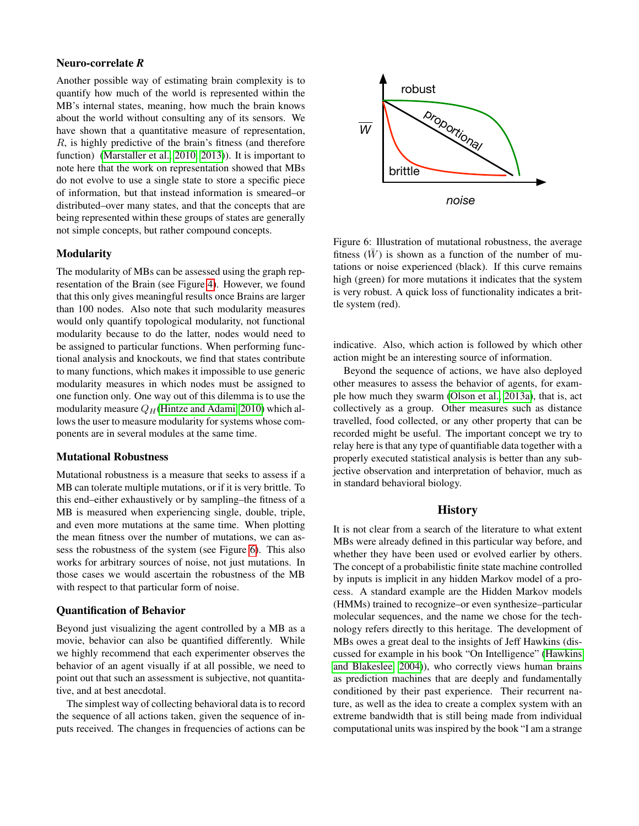## Neuro-correlate *R*

Another possible way of estimating brain complexity is to quantify how much of the world is represented within the MB's internal states, meaning, how much the brain knows about the world without consulting any of its sensors. We have shown that a quantitative measure of representation, R, is highly predictive of the brain's fitness (and therefore function) [\(Marstaller et al., 2010,](#page-11-2) [2013\)](#page-11-3)). It is important to note here that the work on representation showed that MBs do not evolve to use a single state to store a specific piece of information, but that instead information is smeared–or distributed–over many states, and that the concepts that are being represented within these groups of states are generally not simple concepts, but rather compound concepts.

## Modularity

The modularity of MBs can be assessed using the graph representation of the Brain (see Figure [4\)](#page-6-1). However, we found that this only gives meaningful results once Brains are larger than 100 nodes. Also note that such modularity measures would only quantify topological modularity, not functional modularity because to do the latter, nodes would need to be assigned to particular functions. When performing functional analysis and knockouts, we find that states contribute to many functions, which makes it impossible to use generic modularity measures in which nodes must be assigned to one function only. One way out of this dilemma is to use the modularity measure  $Q_H$ [\(Hintze and Adami, 2010\)](#page-10-7) which allows the user to measure modularity for systems whose components are in several modules at the same time.

#### Mutational Robustness

Mutational robustness is a measure that seeks to assess if a MB can tolerate multiple mutations, or if it is very brittle. To this end–either exhaustively or by sampling–the fitness of a MB is measured when experiencing single, double, triple, and even more mutations at the same time. When plotting the mean fitness over the number of mutations, we can assess the robustness of the system (see Figure [6\)](#page-8-0). This also works for arbitrary sources of noise, not just mutations. In those cases we would ascertain the robustness of the MB with respect to that particular form of noise.

#### Quantification of Behavior

Beyond just visualizing the agent controlled by a MB as a movie, behavior can also be quantified differently. While we highly recommend that each experimenter observes the behavior of an agent visually if at all possible, we need to point out that such an assessment is subjective, not quantitative, and at best anecdotal.

The simplest way of collecting behavioral data is to record the sequence of all actions taken, given the sequence of inputs received. The changes in frequencies of actions can be



<span id="page-8-0"></span>Figure 6: Illustration of mutational robustness, the average fitness  $(\bar{W})$  is shown as a function of the number of mutations or noise experienced (black). If this curve remains high (green) for more mutations it indicates that the system is very robust. A quick loss of functionality indicates a brittle system (red).

indicative. Also, which action is followed by which other action might be an interesting source of information.

Beyond the sequence of actions, we have also deployed other measures to assess the behavior of agents, for example how much they swarm [\(Olson et al., 2013a\)](#page-11-4), that is, act collectively as a group. Other measures such as distance travelled, food collected, or any other property that can be recorded might be useful. The important concept we try to relay here is that any type of quantifiable data together with a properly executed statistical analysis is better than any subjective observation and interpretation of behavior, much as in standard behavioral biology.

## **History**

It is not clear from a search of the literature to what extent MBs were already defined in this particular way before, and whether they have been used or evolved earlier by others. The concept of a probabilistic finite state machine controlled by inputs is implicit in any hidden Markov model of a process. A standard example are the Hidden Markov models (HMMs) trained to recognize–or even synthesize–particular molecular sequences, and the name we chose for the technology refers directly to this heritage. The development of MBs owes a great deal to the insights of Jeff Hawkins (discussed for example in his book "On Intelligence" [\(Hawkins](#page-10-8) [and Blakeslee, 2004\)](#page-10-8)), who correctly views human brains as prediction machines that are deeply and fundamentally conditioned by their past experience. Their recurrent nature, as well as the idea to create a complex system with an extreme bandwidth that is still being made from individual computational units was inspired by the book "I am a strange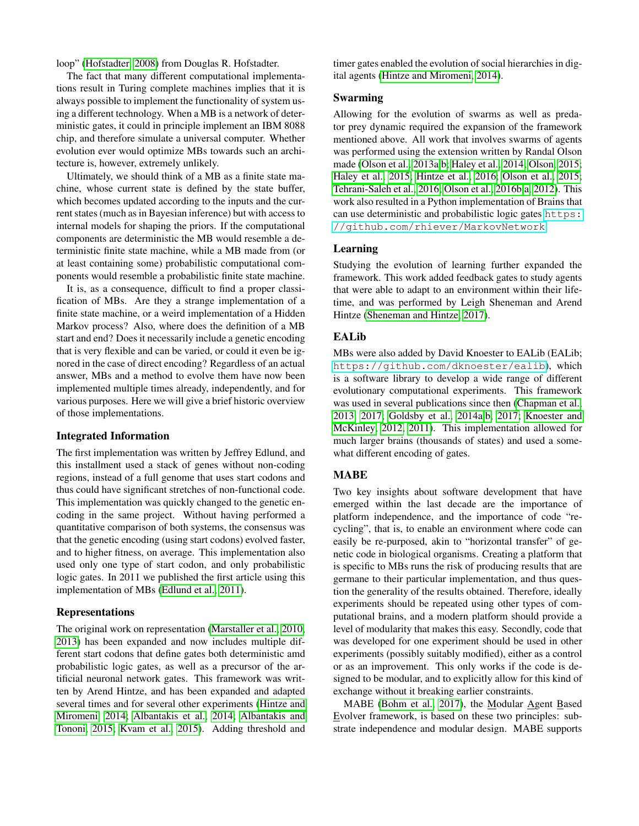loop" [\(Hofstadter, 2008\)](#page-10-9) from Douglas R. Hofstadter.

The fact that many different computational implementations result in Turing complete machines implies that it is always possible to implement the functionality of system using a different technology. When a MB is a network of deterministic gates, it could in principle implement an IBM 8088 chip, and therefore simulate a universal computer. Whether evolution ever would optimize MBs towards such an architecture is, however, extremely unlikely.

Ultimately, we should think of a MB as a finite state machine, whose current state is defined by the state buffer, which becomes updated according to the inputs and the current states (much as in Bayesian inference) but with access to internal models for shaping the priors. If the computational components are deterministic the MB would resemble a deterministic finite state machine, while a MB made from (or at least containing some) probabilistic computational components would resemble a probabilistic finite state machine.

It is, as a consequence, difficult to find a proper classification of MBs. Are they a strange implementation of a finite state machine, or a weird implementation of a Hidden Markov process? Also, where does the definition of a MB start and end? Does it necessarily include a genetic encoding that is very flexible and can be varied, or could it even be ignored in the case of direct encoding? Regardless of an actual answer, MBs and a method to evolve them have now been implemented multiple times already, independently, and for various purposes. Here we will give a brief historic overview of those implementations.

## Integrated Information

The first implementation was written by Jeffrey Edlund, and this installment used a stack of genes without non-coding regions, instead of a full genome that uses start codons and thus could have significant stretches of non-functional code. This implementation was quickly changed to the genetic encoding in the same project. Without having performed a quantitative comparison of both systems, the consensus was that the genetic encoding (using start codons) evolved faster, and to higher fitness, on average. This implementation also used only one type of start codon, and only probabilistic logic gates. In 2011 we published the first article using this implementation of MBs [\(Edlund et al., 2011\)](#page-10-4).

#### Representations

The original work on representation [\(Marstaller et al., 2010,](#page-11-2) [2013\)](#page-11-3) has been expanded and now includes multiple different start codons that define gates both deterministic amd probabilistic logic gates, as well as a precursor of the artificial neuronal network gates. This framework was written by Arend Hintze, and has been expanded and adapted several times and for several other experiments [\(Hintze and](#page-10-10) [Miromeni, 2014;](#page-10-10) [Albantakis et al., 2014;](#page-10-6) [Albantakis and](#page-10-11) [Tononi, 2015;](#page-10-11) [Kvam et al., 2015\)](#page-11-5). Adding threshold and

timer gates enabled the evolution of social hierarchies in digital agents [\(Hintze and Miromeni, 2014\)](#page-10-10).

### Swarming

Allowing for the evolution of swarms as well as predator prey dynamic required the expansion of the framework mentioned above. All work that involves swarms of agents was performed using the extension written by Randal Olson made [\(Olson et al., 2013a](#page-11-4)[,b;](#page-11-6) [Haley et al., 2014;](#page-10-12) [Olson, 2015;](#page-11-7) [Haley et al., 2015;](#page-10-13) [Hintze et al., 2016;](#page-10-14) [Olson et al., 2015;](#page-11-8) [Tehrani-Saleh et al., 2016;](#page-11-9) [Olson et al., 2016b,](#page-11-10)[a,](#page-11-11) [2012\)](#page-11-12). This work also resulted in a Python implementation of Brains that can use deterministic and probabilistic logic gates [https:](https://github.com/rhiever/MarkovNetwork) [//github.com/rhiever/MarkovNetwork](https://github.com/rhiever/MarkovNetwork).

### Learning

Studying the evolution of learning further expanded the framework. This work added feedback gates to study agents that were able to adapt to an environment within their lifetime, and was performed by Leigh Sheneman and Arend Hintze [\(Sheneman and Hintze, 2017\)](#page-11-13).

## EALib

MBs were also added by David Knoester to EALib (EALib; <https://github.com/dknoester/ealib>), which is a software library to develop a wide range of different evolutionary computational experiments. This framework was used in several publications since then [\(Chapman et al.,](#page-10-15) [2013,](#page-10-15) [2017;](#page-10-16) [Goldsby et al., 2014a,](#page-10-17)[b,](#page-10-18) [2017;](#page-10-19) [Knoester and](#page-10-20) [McKinley, 2012,](#page-10-20) [2011\)](#page-10-21). This implementation allowed for much larger brains (thousands of states) and used a somewhat different encoding of gates.

### MABE

Two key insights about software development that have emerged within the last decade are the importance of platform independence, and the importance of code "recycling", that is, to enable an environment where code can easily be re-purposed, akin to "horizontal transfer" of genetic code in biological organisms. Creating a platform that is specific to MBs runs the risk of producing results that are germane to their particular implementation, and thus question the generality of the results obtained. Therefore, ideally experiments should be repeated using other types of computational brains, and a modern platform should provide a level of modularity that makes this easy. Secondly, code that was developed for one experiment should be used in other experiments (possibly suitably modified), either as a control or as an improvement. This only works if the code is designed to be modular, and to explicitly allow for this kind of exchange without it breaking earlier constraints.

MABE [\(Bohm et al., 2017\)](#page-10-22), the Modular Agent Based Evolver framework, is based on these two principles: substrate independence and modular design. MABE supports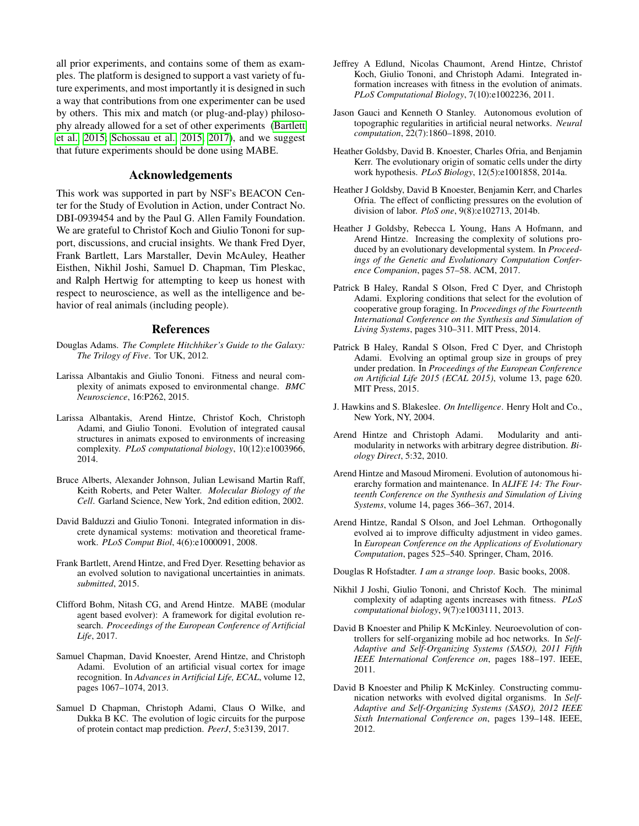all prior experiments, and contains some of them as examples. The platform is designed to support a vast variety of future experiments, and most importantly it is designed in such a way that contributions from one experimenter can be used by others. This mix and match (or plug-and-play) philosophy already allowed for a set of other experiments [\(Bartlett](#page-10-23) [et al., 2015;](#page-10-23) [Schossau et al., 2015,](#page-11-14) [2017\)](#page-11-15), and we suggest that future experiments should be done using MABE.

## Acknowledgements

This work was supported in part by NSF's BEACON Center for the Study of Evolution in Action, under Contract No. DBI-0939454 and by the Paul G. Allen Family Foundation. We are grateful to Christof Koch and Giulio Tononi for support, discussions, and crucial insights. We thank Fred Dyer, Frank Bartlett, Lars Marstaller, Devin McAuley, Heather Eisthen, Nikhil Joshi, Samuel D. Chapman, Tim Pleskac, and Ralph Hertwig for attempting to keep us honest with respect to neuroscience, as well as the intelligence and behavior of real animals (including people).

## References

- <span id="page-10-2"></span>Douglas Adams. *The Complete Hitchhiker's Guide to the Galaxy: The Trilogy of Five*. Tor UK, 2012.
- <span id="page-10-11"></span>Larissa Albantakis and Giulio Tononi. Fitness and neural complexity of animats exposed to environmental change. *BMC Neuroscience*, 16:P262, 2015.
- <span id="page-10-6"></span>Larissa Albantakis, Arend Hintze, Christof Koch, Christoph Adami, and Giulio Tononi. Evolution of integrated causal structures in animats exposed to environments of increasing complexity. *PLoS computational biology*, 10(12):e1003966, 2014.
- <span id="page-10-1"></span>Bruce Alberts, Alexander Johnson, Julian Lewisand Martin Raff, Keith Roberts, and Peter Walter. *Molecular Biology of the Cell*. Garland Science, New York, 2nd edition edition, 2002.
- <span id="page-10-3"></span>David Balduzzi and Giulio Tononi. Integrated information in discrete dynamical systems: motivation and theoretical framework. *PLoS Comput Biol*, 4(6):e1000091, 2008.
- <span id="page-10-23"></span>Frank Bartlett, Arend Hintze, and Fred Dyer. Resetting behavior as an evolved solution to navigational uncertainties in animats. *submitted*, 2015.
- <span id="page-10-22"></span>Clifford Bohm, Nitash CG, and Arend Hintze. MABE (modular agent based evolver): A framework for digital evolution research. *Proceedings of the European Conference of Artificial Life*, 2017.
- <span id="page-10-15"></span>Samuel Chapman, David Knoester, Arend Hintze, and Christoph Adami. Evolution of an artificial visual cortex for image recognition. In *Advances in Artificial Life, ECAL*, volume 12, pages 1067–1074, 2013.
- <span id="page-10-16"></span>Samuel D Chapman, Christoph Adami, Claus O Wilke, and Dukka B KC. The evolution of logic circuits for the purpose of protein contact map prediction. *PeerJ*, 5:e3139, 2017.
- <span id="page-10-4"></span>Jeffrey A Edlund, Nicolas Chaumont, Arend Hintze, Christof Koch, Giulio Tononi, and Christoph Adami. Integrated information increases with fitness in the evolution of animats. *PLoS Computational Biology*, 7(10):e1002236, 2011.
- <span id="page-10-0"></span>Jason Gauci and Kenneth O Stanley. Autonomous evolution of topographic regularities in artificial neural networks. *Neural computation*, 22(7):1860–1898, 2010.
- <span id="page-10-17"></span>Heather Goldsby, David B. Knoester, Charles Ofria, and Benjamin Kerr. The evolutionary origin of somatic cells under the dirty work hypothesis. *PLoS Biology*, 12(5):e1001858, 2014a.
- <span id="page-10-18"></span>Heather J Goldsby, David B Knoester, Benjamin Kerr, and Charles Ofria. The effect of conflicting pressures on the evolution of division of labor. *PloS one*, 9(8):e102713, 2014b.
- <span id="page-10-19"></span>Heather J Goldsby, Rebecca L Young, Hans A Hofmann, and Arend Hintze. Increasing the complexity of solutions produced by an evolutionary developmental system. In *Proceedings of the Genetic and Evolutionary Computation Conference Companion*, pages 57–58. ACM, 2017.
- <span id="page-10-12"></span>Patrick B Haley, Randal S Olson, Fred C Dyer, and Christoph Adami. Exploring conditions that select for the evolution of cooperative group foraging. In *Proceedings of the Fourteenth International Conference on the Synthesis and Simulation of Living Systems*, pages 310–311. MIT Press, 2014.
- <span id="page-10-13"></span>Patrick B Haley, Randal S Olson, Fred C Dyer, and Christoph Adami. Evolving an optimal group size in groups of prey under predation. In *Proceedings of the European Conference on Artificial Life 2015 (ECAL 2015)*, volume 13, page 620. MIT Press, 2015.
- <span id="page-10-8"></span>J. Hawkins and S. Blakeslee. *On Intelligence*. Henry Holt and Co., New York, NY, 2004.
- <span id="page-10-7"></span>Arend Hintze and Christoph Adami. Modularity and antimodularity in networks with arbitrary degree distribution. *Biology Direct*, 5:32, 2010.
- <span id="page-10-10"></span>Arend Hintze and Masoud Miromeni. Evolution of autonomous hierarchy formation and maintenance. In *ALIFE 14: The Fourteenth Conference on the Synthesis and Simulation of Living Systems*, volume 14, pages 366–367, 2014.
- <span id="page-10-14"></span>Arend Hintze, Randal S Olson, and Joel Lehman. Orthogonally evolved ai to improve difficulty adjustment in video games. In *European Conference on the Applications of Evolutionary Computation*, pages 525–540. Springer, Cham, 2016.

<span id="page-10-9"></span>Douglas R Hofstadter. *I am a strange loop*. Basic books, 2008.

- <span id="page-10-5"></span>Nikhil J Joshi, Giulio Tononi, and Christof Koch. The minimal complexity of adapting agents increases with fitness. *PLoS computational biology*, 9(7):e1003111, 2013.
- <span id="page-10-21"></span>David B Knoester and Philip K McKinley. Neuroevolution of controllers for self-organizing mobile ad hoc networks. In *Self-Adaptive and Self-Organizing Systems (SASO), 2011 Fifth IEEE International Conference on*, pages 188–197. IEEE, 2011.
- <span id="page-10-20"></span>David B Knoester and Philip K McKinley. Constructing communication networks with evolved digital organisms. In *Self-Adaptive and Self-Organizing Systems (SASO), 2012 IEEE Sixth International Conference on*, pages 139–148. IEEE, 2012.